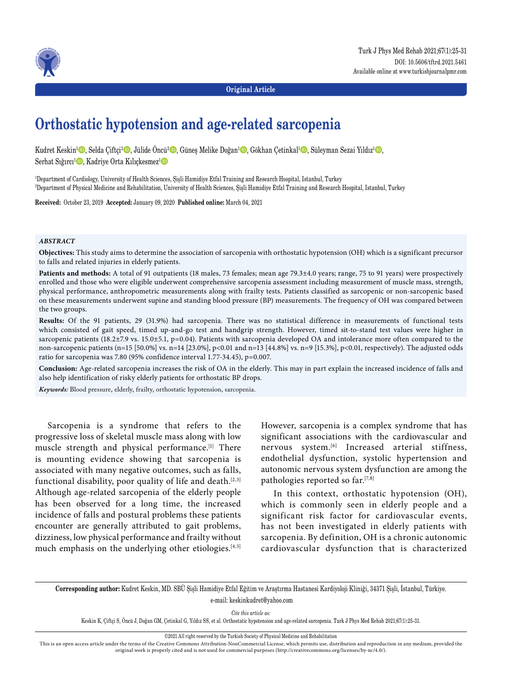

**Original Article**

# **Orthostatic hypotension and age-related sarcopenia**

Kudret Keskin<sup>1</sup>©, Selda Çiftçi<sup>2</sup>©, Jülide Öncü<sup>2</sup>©, Güneş Melike Doğan<sup>1</sup>©, Gökhan Çetinkal<sup>1</sup>©, Süleyman Sezai Yıldız<sup>1</sup>©,

Serhat Sığırcı<sup>ı</sup> D, Kadriye Orta Kılıçkesmez<sup>ı</sup> D

1 Department of Cardiology, University of Health Sciences, Şişli Hamidiye Etfal Training and Research Hospital, Istanbul, Turkey 2 Department of Physical Medicine and Rehabilitation, University of Health Sciences, Şişli Hamidiye Etfal Training and Research Hospital, Istanbul, Turkey

**Received:** October 23, 2019 **Accepted:** January 09, 2020 **Published online:** March 04, 2021

#### *ABSTRACT*

**Objectives:** This study aims to determine the association of sarcopenia with orthostatic hypotension (OH) which is a significant precursor to falls and related injuries in elderly patients.

**Patients and methods:** A total of 91 outpatients (18 males, 73 females; mean age 79.3±4.0 years; range, 75 to 91 years) were prospectively enrolled and those who were eligible underwent comprehensive sarcopenia assessment including measurement of muscle mass, strength, physical performance, anthropometric measurements along with frailty tests. Patients classified as sarcopenic or non-sarcopenic based on these measurements underwent supine and standing blood pressure (BP) measurements. The frequency of OH was compared between the two groups.

**Results:** Of the 91 patients, 29 (31.9%) had sarcopenia. There was no statistical difference in measurements of functional tests which consisted of gait speed, timed up-and-go test and handgrip strength. However, timed sit-to-stand test values were higher in sarcopenic patients (18.2±7.9 vs. 15.0±5.1, p=0.04). Patients with sarcopenia developed OA and intolerance more often compared to the non-sarcopenic patients (n=15 [50.0%] vs. n=14 [23.0%], p<0.01 and n=13 [44.8%] vs. n=9 [15.3%], p<0.01, respectively). The adjusted odds ratio for sarcopenia was 7.80 (95% confidence interval 1.77-34.45), p=0.007.

**Conclusion:** Age-related sarcopenia increases the risk of OA in the elderly. This may in part explain the increased incidence of falls and also help identification of risky elderly patients for orthostatic BP drops.

*Keywords:* Blood pressure, elderly, frailty, orthostatic hypotension, sarcopenia.

Sarcopenia is a syndrome that refers to the progressive loss of skeletal muscle mass along with low muscle strength and physical performance.<sup>[1]</sup> There is mounting evidence showing that sarcopenia is associated with many negative outcomes, such as falls, functional disability, poor quality of life and death.<sup>[2,3]</sup> Although age-related sarcopenia of the elderly people has been observed for a long time, the increased incidence of falls and postural problems these patients encounter are generally attributed to gait problems, dizziness, low physical performance and frailty without much emphasis on the underlying other etiologies.<sup>[4,5]</sup>

However, sarcopenia is a complex syndrome that has significant associations with the cardiovascular and nervous system.<sup>[6]</sup> Increased arterial stiffness, endothelial dysfunction, systolic hypertension and autonomic nervous system dysfunction are among the pathologies reported so far. $[7,8]$ 

In this context, orthostatic hypotension (OH), which is commonly seen in elderly people and a significant risk factor for cardiovascular events, has not been investigated in elderly patients with sarcopenia. By definition, OH is a chronic autonomic cardiovascular dysfunction that is characterized

**Corresponding author:** Kudret Keskin, MD. SBÜ Şişli Hamidiye Etfal Eğitim ve Araştırma Hastanesi Kardiyoloji Kliniği, 34371 Şişli, İstanbul, Türkiye. e-mail: keskinkudret@yahoo.com

*Cite this article as:*

Keskin K, Çiftçi S, Öncü J, Doğan GM, Çetinkal G, Yıldız SS, et al. Orthostatic hypotension and age-related sarcopenia. Turk J Phys Med Rehab 2021;67(1):25-31.

©2021 All right reserved by the Turkish Society of Physical Medicine and Rehabilitation

This is an open access article under the terms of the Creative Commons Attribution-NonCommercial License, which permits use, distribution and reproduction in any medium, provided the original work is properly cited and is not used for commercial purposes (http://creativecommons.org/licenses/by-nc/4.0/).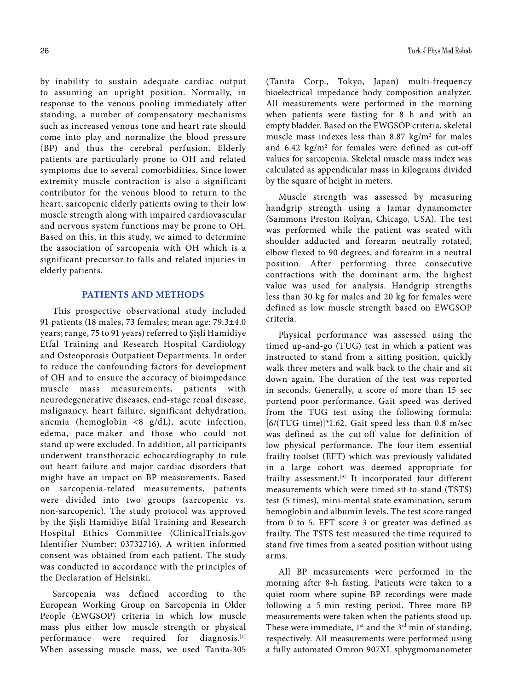by inability to sustain adequate cardiac output to assuming an upright position. Normally, in response to the venous pooling immediately after standing, a number of compensatory mechanisms such as increased venous tone and heart rate should come into play and normalize the blood pressure (BP) and thus the cerebral perfusion. Elderly patients are particularly prone to OH and related symptoms due to several comorbidities. Since lower extremity muscle contraction is also a significant contributor for the venous blood to return to the heart, sarcopenic elderly patients owing to their low muscle strength along with impaired cardiovascular and nervous system functions may be prone to OH. Based on this, in this study, we aimed to determine the association of sarcopenia with OH which is a significant precursor to falls and related injuries in elderly patients.

## **PATIENTS AND METHODS**

This prospective observational study included 91 patients (18 males, 73 females; mean age: 79.3±4.0 years; range, 75 to 91 years) referred to Şişli Hamidiye Etfal Training and Research Hospital Cardiology and Osteoporosis Outpatient Departments. In order to reduce the confounding factors for development of OH and to ensure the accuracy of bioimpedance muscle mass measurements, patients with neurodegenerative diseases, end-stage renal disease, malignancy, heart failure, significant dehydration, anemia (hemoglobin <8 g/dL), acute infection, edema, pace-maker and those who could not stand up were excluded. In addition, all participants underwent transthoracic echocardiography to rule out heart failure and major cardiac disorders that might have an impact on BP measurements. Based on sarcopenia-related measurements, patients were divided into two groups (sarcopenic vs. non-sarcopenic). The study protocol was approved by the Şişli Hamidiye Etfal Training and Research Hospital Ethics Committee (ClinicalTrials.gov Identifier Number: 03732716). A written informed consent was obtained from each patient. The study was conducted in accordance with the principles of the Declaration of Helsinki.

Sarcopenia was defined according to the European Working Group on Sarcopenia in Older People (EWGSOP) criteria in which low muscle mass plus either low muscle strength or physical performance were required for diagnosis.<sup>[1]</sup> When assessing muscle mass, we used Tanita-305 (Tanita Corp., Tokyo, Japan) multi-frequency bioelectrical impedance body composition analyzer. All measurements were performed in the morning when patients were fasting for 8 h and with an empty bladder. Based on the EWGSOP criteria, skeletal muscle mass indexes less than  $8.87 \text{ kg/m}^2$  for males and  $6.42 \text{ kg/m}^2$  for females were defined as cut-off values for sarcopenia. Skeletal muscle mass index was calculated as appendicular mass in kilograms divided by the square of height in meters.

Muscle strength was assessed by measuring handgrip strength using a Jamar dynamometer (Sammons Preston Rolyan, Chicago, USA). The test was performed while the patient was seated with shoulder adducted and forearm neutrally rotated, elbow flexed to 90 degrees, and forearm in a neutral position. After performing three consecutive contractions with the dominant arm, the highest value was used for analysis. Handgrip strengths less than 30 kg for males and 20 kg for females were defined as low muscle strength based on EWGSOP criteria.

Physical performance was assessed using the timed up-and-go (TUG) test in which a patient was instructed to stand from a sitting position, quickly walk three meters and walk back to the chair and sit down again. The duration of the test was reported in seconds. Generally, a score of more than 15 sec portend poor performance. Gait speed was derived from the TUG test using the following formula: [6/(TUG time)]\*1.62. Gait speed less than 0.8 m/sec was defined as the cut-off value for definition of low physical performance. The four-item essential frailty toolset (EFT) which was previously validated in a large cohort was deemed appropriate for frailty assessment.[9] It incorporated four different measurements which were timed sit-to-stand (TSTS) test (5 times), mini-mental state examination, serum hemoglobin and albumin levels. The test score ranged from 0 to 5. EFT score 3 or greater was defined as frailty. The TSTS test measured the time required to stand five times from a seated position without using arms.

All BP measurements were performed in the morning after 8-h fasting. Patients were taken to a quiet room where supine BP recordings were made following a 5-min resting period. Three more BP measurements were taken when the patients stood up. These were immediate,  $1^{st}$  and the  $3^{rd}$  min of standing, respectively. All measurements were performed using a fully automated Omron 907XL sphygmomanometer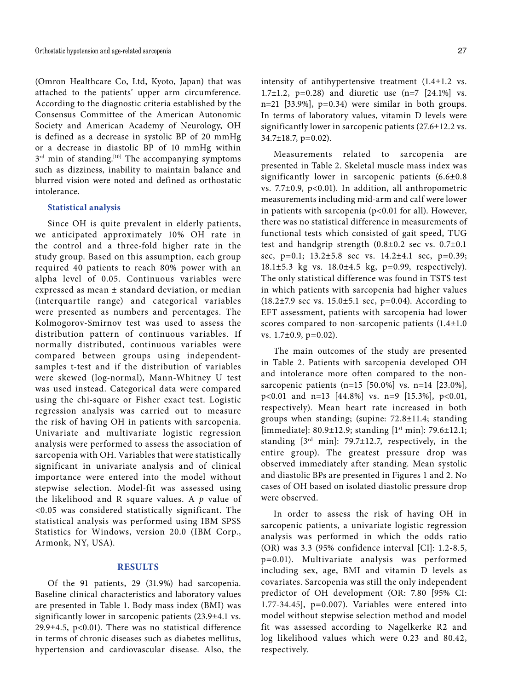(Omron Healthcare Co, Ltd, Kyoto, Japan) that was attached to the patients' upper arm circumference. According to the diagnostic criteria established by the Consensus Committee of the American Autonomic Society and American Academy of Neurology, OH is defined as a decrease in systolic BP of 20 mmHg or a decrease in diastolic BP of 10 mmHg within  $3<sup>rd</sup>$  min of standing.<sup>[10]</sup> The accompanying symptoms such as dizziness, inability to maintain balance and blurred vision were noted and defined as orthostatic intolerance.

## **Statistical analysis**

Since OH is quite prevalent in elderly patients, we anticipated approximately 10% OH rate in the control and a three-fold higher rate in the study group. Based on this assumption, each group required 40 patients to reach 80% power with an alpha level of 0.05. Continuous variables were expressed as mean ± standard deviation, or median (interquartile range) and categorical variables were presented as numbers and percentages. The Kolmogorov-Smirnov test was used to assess the distribution pattern of continuous variables. If normally distributed, continuous variables were compared between groups using independentsamples t-test and if the distribution of variables were skewed (log-normal), Mann-Whitney U test was used instead. Categorical data were compared using the chi-square or Fisher exact test. Logistic regression analysis was carried out to measure the risk of having OH in patients with sarcopenia. Univariate and multivariate logistic regression analysis were performed to assess the association of sarcopenia with OH. Variables that were statistically significant in univariate analysis and of clinical importance were entered into the model without stepwise selection. Model-fit was assessed using the likelihood and R square values. A *p* value of <0.05 was considered statistically significant. The statistical analysis was performed using IBM SPSS Statistics for Windows, version 20.0 (IBM Corp., Armonk, NY, USA).

## **RESULTS**

Of the 91 patients, 29 (31.9%) had sarcopenia. Baseline clinical characteristics and laboratory values are presented in Table 1. Body mass index (BMI) was significantly lower in sarcopenic patients (23.9±4.1 vs. 29.9±4.5, p<0.01). There was no statistical difference in terms of chronic diseases such as diabetes mellitus, hypertension and cardiovascular disease. Also, the

intensity of antihypertensive treatment (1.4±1.2 vs. 1.7±1.2,  $p=0.28$ ) and diuretic use  $(n=7$  [24.1%] vs. n=21 [33.9%],  $p=0.34$ ) were similar in both groups. In terms of laboratory values, vitamin D levels were significantly lower in sarcopenic patients (27.6±12.2 vs.  $34.7 \pm 18.7$ , p=0.02).

Measurements related to sarcopenia are presented in Table 2. Skeletal muscle mass index was significantly lower in sarcopenic patients (6.6±0.8 vs.  $7.7\pm0.9$ , p<0.01). In addition, all anthropometric measurements including mid-arm and calf were lower in patients with sarcopenia (p<0.01 for all). However, there was no statistical difference in measurements of functional tests which consisted of gait speed, TUG test and handgrip strength (0.8±0.2 sec vs. 0.7±0.1 sec, p=0.1; 13.2±5.8 sec vs. 14.2±4.1 sec, p=0.39;  $18.1 \pm 5.3$  kg vs.  $18.0 \pm 4.5$  kg,  $p=0.99$ , respectively). The only statistical difference was found in TSTS test in which patients with sarcopenia had higher values  $(18.2\pm7.9 \text{ sec vs. } 15.0\pm5.1 \text{ sec, } p=0.04)$ . According to EFT assessment, patients with sarcopenia had lower scores compared to non-sarcopenic patients (1.4±1.0 vs. 1.7±0.9, p=0.02).

The main outcomes of the study are presented in Table 2. Patients with sarcopenia developed OH and intolerance more often compared to the nonsarcopenic patients (n=15 [50.0%] vs. n=14 [23.0%], p<0.01 and n=13 [44.8%] vs. n=9 [15.3%], p<0.01, respectively). Mean heart rate increased in both groups when standing; (supine: 72.8±11.4; standing [immediate]:  $80.9 \pm 12.9$ ; standing  $[1<sup>st</sup> min]$ : 79.6 $\pm 12.1$ ; standing [3rd min]: 79.7±12.7, respectively, in the entire group). The greatest pressure drop was observed immediately after standing. Mean systolic and diastolic BPs are presented in Figures 1 and 2. No cases of OH based on isolated diastolic pressure drop were observed.

In order to assess the risk of having OH in sarcopenic patients, a univariate logistic regression analysis was performed in which the odds ratio (OR) was 3.3 (95% confidence interval [CI]: 1.2-8.5, p=0.01). Multivariate analysis was performed including sex, age, BMI and vitamin D levels as covariates. Sarcopenia was still the only independent predictor of OH development (OR: 7.80 [95% CI:  $1.77-34.45$ ],  $p=0.007$ ). Variables were entered into model without stepwise selection method and model fit was assessed according to Nagelkerke R2 and log likelihood values which were 0.23 and 80.42, respectively.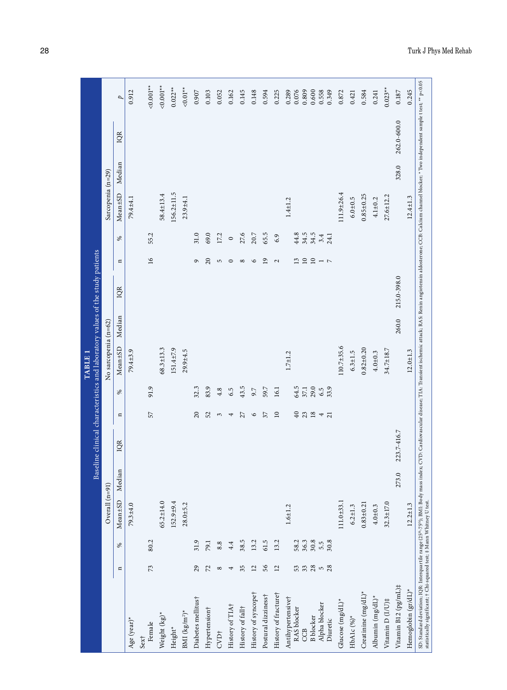|                                                                                                                                                                                                                                                                                                                               |                 |                  |                  |        | Baseline clinical characteristics and laboratory values of the study patients |                     |              | TABLE <sub>1</sub>   |        |             |                                                        |                 |                   |        |             |                         |
|-------------------------------------------------------------------------------------------------------------------------------------------------------------------------------------------------------------------------------------------------------------------------------------------------------------------------------|-----------------|------------------|------------------|--------|-------------------------------------------------------------------------------|---------------------|--------------|----------------------|--------|-------------|--------------------------------------------------------|-----------------|-------------------|--------|-------------|-------------------------|
|                                                                                                                                                                                                                                                                                                                               |                 |                  | Overall $(n=91)$ |        |                                                                               |                     |              | No sarcopenia (n=62) |        |             |                                                        |                 | Sarcopenia (n=29) |        |             |                         |
|                                                                                                                                                                                                                                                                                                                               | $\mathbf{u}$    | ℅                | Mean±SD          | Median | IQR                                                                           | $\Xi$               | $\%$         | Mean <sup>±SD</sup>  | Median | IQR         | $\mathbf{u}$                                           | $\%$            | Mean±SD           | Median | IQR         | $\overline{p}$          |
| Age (year)*                                                                                                                                                                                                                                                                                                                   |                 |                  | $79.3 + 4.0$     |        |                                                                               |                     |              | 79.4±3.9             |        |             |                                                        |                 | 79.4±4.1          |        |             | 0.912                   |
| Female<br>Sex†                                                                                                                                                                                                                                                                                                                | 73              | 80.2             |                  |        |                                                                               | 57                  | 91.9         |                      |        |             | $\tilde{g}$                                            | 55.2            |                   |        |             | $0.001**$               |
| Weight (kg)*                                                                                                                                                                                                                                                                                                                  |                 |                  | $65.2 \pm 14.0$  |        |                                                                               |                     |              | $68.3 \pm 13.3$      |        |             |                                                        |                 | $58.4 \pm 13.4$   |        |             | $0.001**$               |
| Height*                                                                                                                                                                                                                                                                                                                       |                 |                  | $152.9 + 9.4$    |        |                                                                               |                     |              | 151.4±7.9            |        |             |                                                        |                 | $156.2 \pm 11.5$  |        |             | $0.022**$               |
| BMI (kg/m <sup>2)*</sup>                                                                                                                                                                                                                                                                                                      |                 |                  | $28.0 + 5.2$     |        |                                                                               |                     |              | $29.9 + 4.5$         |        |             |                                                        |                 | $23.9 + 4.1$      |        |             | $0.01**$                |
| Diabetes mellitus†                                                                                                                                                                                                                                                                                                            | 29              | 31.9             |                  |        |                                                                               | 20                  | 32.3         |                      |        |             | ç                                                      | 31.0            |                   |        |             | 0.907                   |
| Hypertension†                                                                                                                                                                                                                                                                                                                 | 72              | 79.1             |                  |        |                                                                               | 52                  | 83.9         |                      |        |             | $\overline{c}$                                         | 69.0            |                   |        |             | 0.103                   |
| CVD <sub>†</sub>                                                                                                                                                                                                                                                                                                              | $^{\circ}$      | 8.8              |                  |        |                                                                               | 3                   | 4.8          |                      |        |             | 5                                                      | 17.2            |                   |        |             | 0.052                   |
| History of TIA+                                                                                                                                                                                                                                                                                                               |                 | 4.4              |                  |        |                                                                               | 4                   | 6.5          |                      |        |             | 0                                                      | $\circ$         |                   |        |             | 0.162                   |
| History of fall+                                                                                                                                                                                                                                                                                                              | 35              | 38.5             |                  |        |                                                                               | 27                  | 43.5         |                      |        |             | $^{\circ}$                                             | 27.6            |                   |        |             | 0.145                   |
| History of syncopet                                                                                                                                                                                                                                                                                                           | $\overline{2}$  | 13.2             |                  |        |                                                                               | $\circ$             | 9.7          |                      |        |             | $\circ$                                                | 20.7            |                   |        |             | 0.148                   |
| Postural dizziness†                                                                                                                                                                                                                                                                                                           | 56              | 61.5             |                  |        |                                                                               | 57                  | 59.7         |                      |        |             | $\overline{9}$                                         | 65.5            |                   |        |             | 0.594                   |
| History of fracture†                                                                                                                                                                                                                                                                                                          | $\overline{12}$ | 13.2             |                  |        |                                                                               | $\square$           | 16.1         |                      |        |             | $\mathbf{\Omega}$                                      | 6.9             |                   |        |             | 0.225                   |
| Antihypertensivet<br>RAS blocker<br>CCB                                                                                                                                                                                                                                                                                       | 53              | 58.2             | $1.6 + 1.2$      |        |                                                                               | 40                  | 64.5<br>37.1 | $1.7 + 1.2$          |        |             | 13                                                     | 44.8<br>34.5    | $1.4 + 1.2$       |        |             | 0.289<br>0.809<br>0.076 |
| <b>B</b> blocker                                                                                                                                                                                                                                                                                                              |                 | $36.3$<br>$30.8$ |                  |        |                                                                               | $23$ 18             | 29.0         |                      |        |             |                                                        | $34.5$<br>$3.4$ |                   |        |             | 0.600                   |
| Alpha blocker<br>Diuretic                                                                                                                                                                                                                                                                                                     | $3,80$ 5 $-28$  | 30.8<br>5.5      |                  |        |                                                                               | 4<br>$\overline{a}$ | 33.9<br>6.5  |                      |        |             | $\begin{array}{c} \n\Omega & \n\Omega & \n\end{array}$ | 24.1            |                   |        |             | 0.558<br>0.349          |
| Glucose (mg/dL)*                                                                                                                                                                                                                                                                                                              |                 |                  | $111.0 + 33.1$   |        |                                                                               |                     |              | $110.7 + 35.6$       |        |             |                                                        |                 | 111.9±26.4        |        |             | 0.872                   |
| HbA1c $(%)^*$                                                                                                                                                                                                                                                                                                                 |                 |                  | $6.2 + 1.3$      |        |                                                                               |                     |              | $6.3 + 1.5$          |        |             |                                                        |                 | $6.0 + 0.5$       |        |             | 0.421                   |
| Creatinine (mg/dL)*                                                                                                                                                                                                                                                                                                           |                 |                  | $0.83 + 0.21$    |        |                                                                               |                     |              | $0.82 + 0.20$        |        |             |                                                        |                 | $0.85 + 0.25$     |        |             | 0.584                   |
| Albumin (mg/dL)*                                                                                                                                                                                                                                                                                                              |                 |                  | $4.0 + 0.3$      |        |                                                                               |                     |              | $4.0 + 0.3$          |        |             |                                                        |                 | $4.1 + 0.2$       |        |             | 0.241                   |
| Vitamin D $(I/U)$ ‡                                                                                                                                                                                                                                                                                                           |                 |                  | $32.3 \pm 17.0$  |        |                                                                               |                     |              | 34.7±18.7            |        |             |                                                        |                 | 27.6±12.2         |        |             | $0.023**$               |
| Vitamin B12 (pg/mL)#                                                                                                                                                                                                                                                                                                          |                 |                  |                  | 273.0  | 223.7-416.7                                                                   |                     |              |                      | 260.0  | 215.0-398.0 |                                                        |                 |                   | 328.0  | 262.0-600.0 | $0.187\,$               |
| Hemoglobin (gr/dL)*                                                                                                                                                                                                                                                                                                           |                 |                  | $12.2 \pm 1.3$   |        |                                                                               |                     |              | $12.0 + 1.3$         |        |             |                                                        |                 | $12.4 \pm 1.3$    |        |             | 0.245                   |
| SD: Standard deviation; IQR: Interquartile range (25 <sup>th</sup> -75 <sup>th</sup> ); BMI: Body mass index; CVD: Cardiovascular disease; TIA: Transient ischemic attack; RAS: Renin angiotensin aldostreone; CCB: Calcium channel blocker; * Two i<br>statistically significant; † Chi-squared test; ‡ Mann Whitney U test. |                 |                  |                  |        |                                                                               |                     |              |                      |        |             |                                                        |                 |                   |        |             |                         |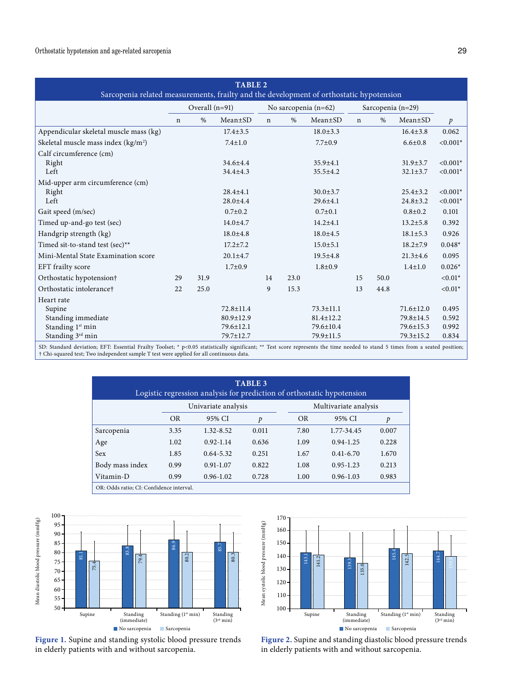| <b>TABLE 2</b><br>Sarcopenia related measurements, frailty and the development of orthostatic hypotension |      |                              |                                                                   |      |                                |                                                                               |      |                                  |                                                                      |
|-----------------------------------------------------------------------------------------------------------|------|------------------------------|-------------------------------------------------------------------|------|--------------------------------|-------------------------------------------------------------------------------|------|----------------------------------|----------------------------------------------------------------------|
|                                                                                                           |      |                              |                                                                   |      |                                |                                                                               |      |                                  |                                                                      |
| $\mathbf n$                                                                                               | $\%$ | $Mean \pm SD$                | $\mathsf{n}$                                                      | $\%$ | $Mean \pm SD$                  | $\mathbf n$                                                                   | $\%$ | $Mean \pm SD$                    | $\mathcal{P}$                                                        |
|                                                                                                           |      | $17.4 \pm 3.5$               |                                                                   |      | $18.0 \pm 3.3$                 |                                                                               |      | $16.4 \pm 3.8$                   | 0.062                                                                |
|                                                                                                           |      | $7.4 \pm 1.0$                |                                                                   |      | $7.7 \pm 0.9$                  |                                                                               |      | $6.6 \pm 0.8$                    | $< 0.001*$                                                           |
|                                                                                                           |      | $34.6 + 4.4$<br>$34.4 + 4.3$ |                                                                   |      | $35.9 + 4.1$<br>$35.5 \pm 4.2$ |                                                                               |      | $31.9 \pm 3.7$<br>$32.1 \pm 3.7$ | $< 0.001*$<br>$< 0.001*$                                             |
|                                                                                                           |      | $28.4 + 4.1$<br>$28.0 + 4.4$ |                                                                   |      | $30.0 \pm 3.7$<br>$29.6 + 4.1$ |                                                                               |      | $25.4 \pm 3.2$<br>$24.8 + 3.2$   | $< 0.001*$<br>$< 0.001*$                                             |
|                                                                                                           |      | $0.7 \pm 0.2$                |                                                                   |      | $0.7 \pm 0.1$                  |                                                                               |      | $0.8 \pm 0.2$                    | 0.101                                                                |
|                                                                                                           |      | $14.0 + 4.7$                 |                                                                   |      | $14.2 + 4.1$                   |                                                                               |      | $13.2 \pm 5.8$                   | 0.392                                                                |
|                                                                                                           |      | $18.0 \pm 4.8$               |                                                                   |      | $18.0 \pm 4.5$                 |                                                                               |      | $18.1 \pm 5.3$                   | 0.926                                                                |
|                                                                                                           |      | $17.2 + 7.2$                 |                                                                   |      | $15.0 \pm 5.1$                 |                                                                               |      | $18.2 \pm 7.9$                   | $0.048*$                                                             |
|                                                                                                           |      | $20.1 \pm 4.7$               |                                                                   |      | $19.5 \pm 4.8$                 |                                                                               |      | $21.3 \pm 4.6$                   | 0.095                                                                |
|                                                                                                           |      | $1.7 \pm 0.9$                |                                                                   |      | $1.8 + 0.9$                    |                                                                               |      | $1.4 \pm 1.0$                    | $0.026*$                                                             |
| 29                                                                                                        | 31.9 |                              | 14                                                                | 23.0 |                                | 15                                                                            | 50.0 |                                  | $< 0.01*$                                                            |
| 22                                                                                                        | 25.0 |                              | 9                                                                 | 15.3 |                                | 13                                                                            | 44.8 |                                  | $< 0.01*$                                                            |
|                                                                                                           |      |                              |                                                                   |      |                                |                                                                               |      |                                  |                                                                      |
|                                                                                                           |      |                              |                                                                   |      |                                |                                                                               |      |                                  | 0.495                                                                |
|                                                                                                           |      |                              |                                                                   |      |                                |                                                                               |      |                                  | 0.592<br>0.992                                                       |
|                                                                                                           |      | 79.7±12.7                    |                                                                   |      | 79.9±11.5                      |                                                                               |      | 79.3±15.2                        | 0.834                                                                |
|                                                                                                           |      |                              | Overall (n=91)<br>$72.8 \pm 11.4$<br>$80.9 \pm 12.9$<br>79.6±12.1 |      |                                | No sarcopenia (n=62)<br>$73.3 \pm 11.1$<br>$81.4 \pm 12.2$<br>$79.6 \pm 10.4$ |      |                                  | Sarcopenia (n=29)<br>$71.6 \pm 12.0$<br>79.8±14.5<br>$79.6 \pm 15.3$ |

SD: Standard deviation; EFT: Essential Frailty Toolset; \* p<0.05 statistically significant; \*\* Test score represents the time needed to stand 5 times from a seated position; † Chi-squared test; Two independent sample T test were applied for all continuous data.

| <b>TABLE 3</b><br>Logistic regression analysis for prediction of orthostatic hypotension |           |                     |       |           |                       |       |  |  |  |  |
|------------------------------------------------------------------------------------------|-----------|---------------------|-------|-----------|-----------------------|-------|--|--|--|--|
|                                                                                          |           | Univariate analysis |       |           | Multivariate analysis |       |  |  |  |  |
|                                                                                          | <b>OR</b> | 95% CI              | Þ     | <b>OR</b> | 95% CI                | p     |  |  |  |  |
| Sarcopenia                                                                               | 3.35      | $1.32 - 8.52$       | 0.011 | 7.80      | 1.77-34.45            | 0.007 |  |  |  |  |
| Age                                                                                      | 1.02      | $0.92 - 1.14$       | 0.636 | 1.09      | $0.94 - 1.25$         | 0.228 |  |  |  |  |
| Sex                                                                                      | 1.85      | $0.64 - 5.32$       | 0.251 | 1.67      | $0.41 - 6.70$         | 1.670 |  |  |  |  |
| Body mass index                                                                          | 0.99      | $0.91 - 1.07$       | 0.822 | 1.08      | $0.95 - 1.23$         | 0.213 |  |  |  |  |
| Vitamin-D                                                                                | 0.99      | $0.96 - 1.02$       | 0.728 | 1.00      | $0.96 - 1.03$         | 0.983 |  |  |  |  |
| OR: Odds ratio: CI: Confidence interval.                                                 |           |                     |       |           |                       |       |  |  |  |  |



**Figure 1.** Supine and standing systolic blood pressure trends in elderly patients with and without sarcopenia.



**Figure 2.** Supine and standing diastolic blood pressure trends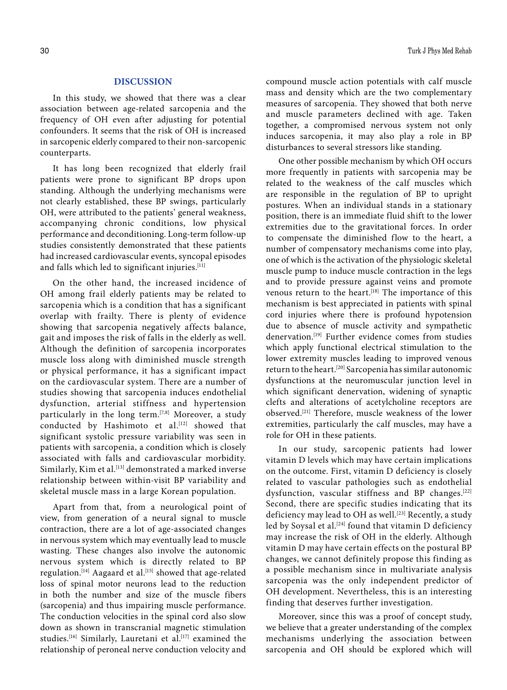# **DISCUSSION**

In this study, we showed that there was a clear association between age-related sarcopenia and the frequency of OH even after adjusting for potential confounders. It seems that the risk of OH is increased in sarcopenic elderly compared to their non-sarcopenic counterparts.

It has long been recognized that elderly frail patients were prone to significant BP drops upon standing. Although the underlying mechanisms were not clearly established, these BP swings, particularly OH, were attributed to the patients' general weakness, accompanying chronic conditions, low physical performance and deconditioning. Long-term follow-up studies consistently demonstrated that these patients had increased cardiovascular events, syncopal episodes and falls which led to significant injuries.<sup>[11]</sup>

On the other hand, the increased incidence of OH among frail elderly patients may be related to sarcopenia which is a condition that has a significant overlap with frailty. There is plenty of evidence showing that sarcopenia negatively affects balance, gait and imposes the risk of falls in the elderly as well. Although the definition of sarcopenia incorporates muscle loss along with diminished muscle strength or physical performance, it has a significant impact on the cardiovascular system. There are a number of studies showing that sarcopenia induces endothelial dysfunction, arterial stiffness and hypertension particularly in the long term.<sup>[7,8]</sup> Moreover, a study conducted by Hashimoto et al.<sup>[12]</sup> showed that significant systolic pressure variability was seen in patients with sarcopenia, a condition which is closely associated with falls and cardiovascular morbidity. Similarly, Kim et al.<sup>[13]</sup> demonstrated a marked inverse relationship between within-visit BP variability and skeletal muscle mass in a large Korean population.

Apart from that, from a neurological point of view, from generation of a neural signal to muscle contraction, there are a lot of age-associated changes in nervous system which may eventually lead to muscle wasting. These changes also involve the autonomic nervous system which is directly related to BP regulation.<sup>[14]</sup> Aagaard et al.<sup>[15]</sup> showed that age-related loss of spinal motor neurons lead to the reduction in both the number and size of the muscle fibers (sarcopenia) and thus impairing muscle performance. The conduction velocities in the spinal cord also slow down as shown in transcranial magnetic stimulation studies.<sup>[16]</sup> Similarly, Lauretani et al.<sup>[17]</sup> examined the relationship of peroneal nerve conduction velocity and

compound muscle action potentials with calf muscle mass and density which are the two complementary measures of sarcopenia. They showed that both nerve and muscle parameters declined with age. Taken together, a compromised nervous system not only induces sarcopenia, it may also play a role in BP disturbances to several stressors like standing.

One other possible mechanism by which OH occurs more frequently in patients with sarcopenia may be related to the weakness of the calf muscles which are responsible in the regulation of BP to upright postures. When an individual stands in a stationary position, there is an immediate fluid shift to the lower extremities due to the gravitational forces. In order to compensate the diminished flow to the heart, a number of compensatory mechanisms come into play, one of which is the activation of the physiologic skeletal muscle pump to induce muscle contraction in the legs and to provide pressure against veins and promote venous return to the heart.<sup>[18]</sup> The importance of this mechanism is best appreciated in patients with spinal cord injuries where there is profound hypotension due to absence of muscle activity and sympathetic denervation.[19] Further evidence comes from studies which apply functional electrical stimulation to the lower extremity muscles leading to improved venous return to the heart.[20] Sarcopenia has similar autonomic dysfunctions at the neuromuscular junction level in which significant denervation, widening of synaptic clefts and alterations of acetylcholine receptors are observed.[21] Therefore, muscle weakness of the lower extremities, particularly the calf muscles, may have a role for OH in these patients.

In our study, sarcopenic patients had lower vitamin D levels which may have certain implications on the outcome. First, vitamin D deficiency is closely related to vascular pathologies such as endothelial dysfunction, vascular stiffness and BP changes.[22] Second, there are specific studies indicating that its deficiency may lead to OH as well.<sup>[23]</sup> Recently, a study led by Soysal et al.<sup>[24]</sup> found that vitamin D deficiency may increase the risk of OH in the elderly. Although vitamin D may have certain effects on the postural BP changes, we cannot definitely propose this finding as a possible mechanism since in multivariate analysis sarcopenia was the only independent predictor of OH development. Nevertheless, this is an interesting finding that deserves further investigation.

Moreover, since this was a proof of concept study, we believe that a greater understanding of the complex mechanisms underlying the association between sarcopenia and OH should be explored which will